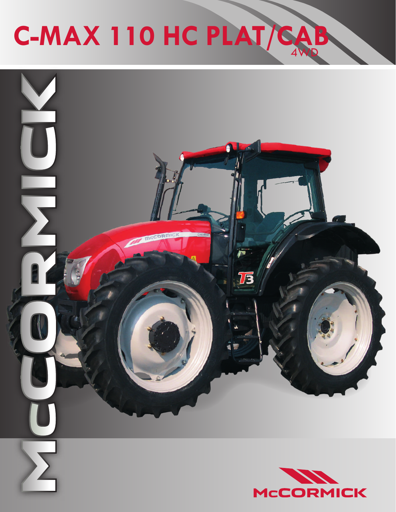## 4WD **C-MAX 110 HC PLAT/CAB**